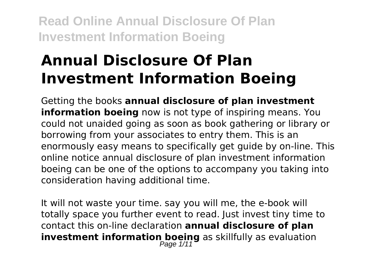# **Annual Disclosure Of Plan Investment Information Boeing**

Getting the books **annual disclosure of plan investment information boeing** now is not type of inspiring means. You could not unaided going as soon as book gathering or library or borrowing from your associates to entry them. This is an enormously easy means to specifically get guide by on-line. This online notice annual disclosure of plan investment information boeing can be one of the options to accompany you taking into consideration having additional time.

It will not waste your time. say you will me, the e-book will totally space you further event to read. Just invest tiny time to contact this on-line declaration **annual disclosure of plan investment information boeing** as skillfully as evaluation<br>Page 1/11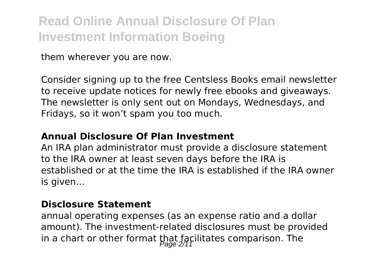them wherever you are now.

Consider signing up to the free Centsless Books email newsletter to receive update notices for newly free ebooks and giveaways. The newsletter is only sent out on Mondays, Wednesdays, and Fridays, so it won't spam you too much.

#### **Annual Disclosure Of Plan Investment**

An IRA plan administrator must provide a disclosure statement to the IRA owner at least seven days before the IRA is established or at the time the IRA is established if the IRA owner is given...

#### **Disclosure Statement**

annual operating expenses (as an expense ratio and a dollar amount). The investment-related disclosures must be provided in a chart or other format that facilitates comparison. The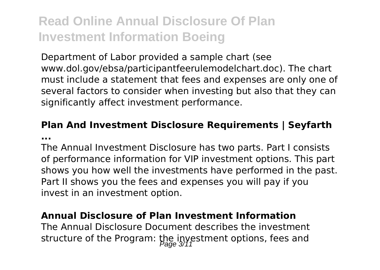Department of Labor provided a sample chart (see www.dol.gov/ebsa/participantfeerulemodelchart.doc). The chart must include a statement that fees and expenses are only one of several factors to consider when investing but also that they can significantly affect investment performance.

#### **Plan And Investment Disclosure Requirements | Seyfarth ...**

The Annual Investment Disclosure has two parts. Part I consists of performance information for VIP investment options. This part shows you how well the investments have performed in the past. Part II shows you the fees and expenses you will pay if you invest in an investment option.

#### **Annual Disclosure of Plan Investment Information**

The Annual Disclosure Document describes the investment structure of the Program: the investment options, fees and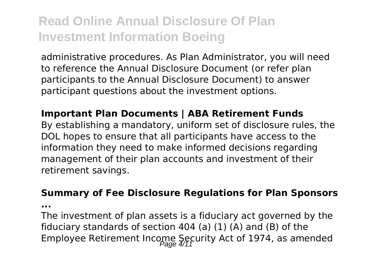administrative procedures. As Plan Administrator, you will need to reference the Annual Disclosure Document (or refer plan participants to the Annual Disclosure Document) to answer participant questions about the investment options.

#### **Important Plan Documents | ABA Retirement Funds**

By establishing a mandatory, uniform set of disclosure rules, the DOL hopes to ensure that all participants have access to the information they need to make informed decisions regarding management of their plan accounts and investment of their retirement savings.

#### **Summary of Fee Disclosure Regulations for Plan Sponsors**

**...**

The investment of plan assets is a fiduciary act governed by the fiduciary standards of section 404 (a) (1) (A) and (B) of the Employee Retirement Income Security Act of 1974, as amended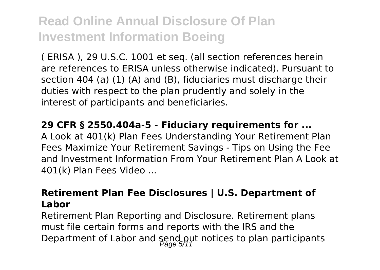( ERISA ), 29 U.S.C. 1001 et seq. (all section references herein are references to ERISA unless otherwise indicated). Pursuant to section 404 (a) (1) (A) and (B), fiduciaries must discharge their duties with respect to the plan prudently and solely in the interest of participants and beneficiaries.

**29 CFR § 2550.404a-5 - Fiduciary requirements for ...** A Look at 401(k) Plan Fees Understanding Your Retirement Plan Fees Maximize Your Retirement Savings - Tips on Using the Fee and Investment Information From Your Retirement Plan A Look at 401(k) Plan Fees Video ...

#### **Retirement Plan Fee Disclosures | U.S. Department of Labor**

Retirement Plan Reporting and Disclosure. Retirement plans must file certain forms and reports with the IRS and the Department of Labor and send out notices to plan participants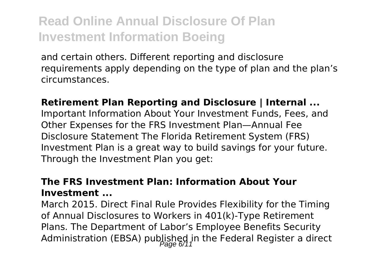and certain others. Different reporting and disclosure requirements apply depending on the type of plan and the plan's circumstances.

#### **Retirement Plan Reporting and Disclosure | Internal ...** Important Information About Your Investment Funds, Fees, and Other Expenses for the FRS Investment Plan—Annual Fee Disclosure Statement The Florida Retirement System (FRS) Investment Plan is a great way to build savings for your future. Through the Investment Plan you get:

#### **The FRS Investment Plan: Information About Your Investment ...**

March 2015. Direct Final Rule Provides Flexibility for the Timing of Annual Disclosures to Workers in 401(k)-Type Retirement Plans. The Department of Labor's Employee Benefits Security Administration (EBSA) published in the Federal Register a direct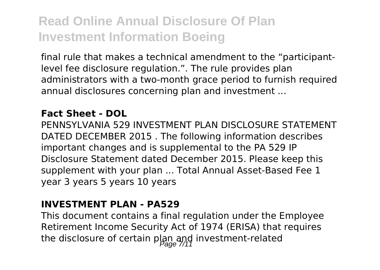final rule that makes a technical amendment to the "participantlevel fee disclosure regulation.". The rule provides plan administrators with a two-month grace period to furnish required annual disclosures concerning plan and investment ...

#### **Fact Sheet - DOL**

PENNSYLVANIA 529 INVESTMENT PLAN DISCLOSURE STATEMENT DATED DECEMBER 2015 . The following information describes important changes and is supplemental to the PA 529 IP Disclosure Statement dated December 2015. Please keep this supplement with your plan ... Total Annual Asset-Based Fee 1 year 3 years 5 years 10 years

#### **INVESTMENT PLAN - PA529**

This document contains a final regulation under the Employee Retirement Income Security Act of 1974 (ERISA) that requires the disclosure of certain plan and investment-related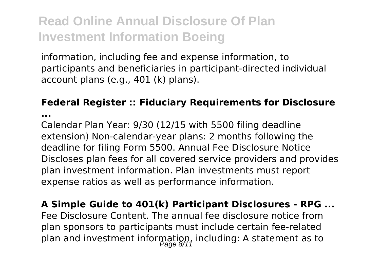information, including fee and expense information, to participants and beneficiaries in participant-directed individual account plans (e.g., 401 (k) plans).

#### **Federal Register :: Fiduciary Requirements for Disclosure**

**...**

Calendar Plan Year: 9/30 (12/15 with 5500 filing deadline extension) Non-calendar-year plans: 2 months following the deadline for filing Form 5500. Annual Fee Disclosure Notice Discloses plan fees for all covered service providers and provides plan investment information. Plan investments must report expense ratios as well as performance information.

**A Simple Guide to 401(k) Participant Disclosures - RPG ...** Fee Disclosure Content. The annual fee disclosure notice from plan sponsors to participants must include certain fee-related plan and investment information, including: A statement as to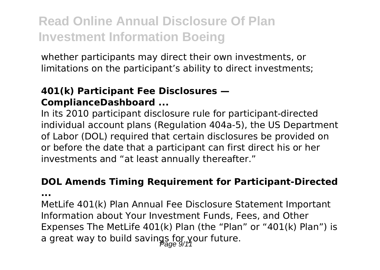whether participants may direct their own investments, or limitations on the participant's ability to direct investments;

#### **401(k) Participant Fee Disclosures — ComplianceDashboard ...**

In its 2010 participant disclosure rule for participant-directed individual account plans (Regulation 404a-5), the US Department of Labor (DOL) required that certain disclosures be provided on or before the date that a participant can first direct his or her investments and "at least annually thereafter."

#### **DOL Amends Timing Requirement for Participant-Directed**

**...**

MetLife 401(k) Plan Annual Fee Disclosure Statement Important Information about Your Investment Funds, Fees, and Other Expenses The MetLife 401(k) Plan (the "Plan" or "401(k) Plan") is a great way to build savings for your future.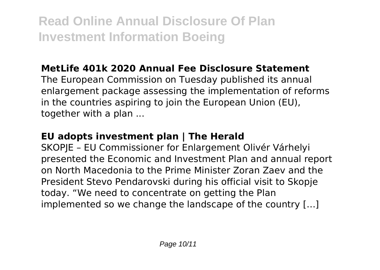### **MetLife 401k 2020 Annual Fee Disclosure Statement**

The European Commission on Tuesday published its annual enlargement package assessing the implementation of reforms in the countries aspiring to join the European Union (EU), together with a plan ...

#### **EU adopts investment plan | The Herald**

SKOPJE – EU Commissioner for Enlargement Olivér Várhelyi presented the Economic and Investment Plan and annual report on North Macedonia to the Prime Minister Zoran Zaev and the President Stevo Pendarovski during his official visit to Skopje today. "We need to concentrate on getting the Plan implemented so we change the landscape of the country […]